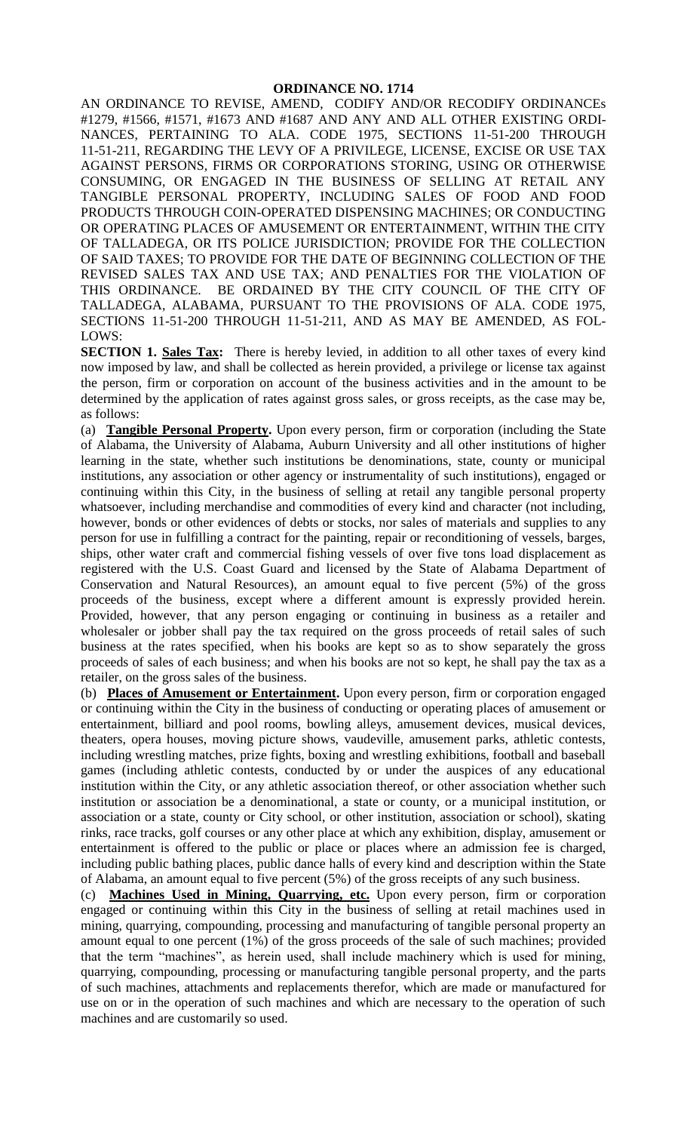AN ORDINANCE TO REVISE, AMEND, CODIFY AND/OR RECODIFY ORDINANCEs #1279, #1566, #1571, #1673 AND #1687 AND ANY AND ALL OTHER EXISTING ORDI-NANCES, PERTAINING TO ALA. CODE 1975, SECTIONS 11-51-200 THROUGH 11-51-211, REGARDING THE LEVY OF A PRIVILEGE, LICENSE, EXCISE OR USE TAX AGAINST PERSONS, FIRMS OR CORPORATIONS STORING, USING OR OTHERWISE CONSUMING, OR ENGAGED IN THE BUSINESS OF SELLING AT RETAIL ANY TANGIBLE PERSONAL PROPERTY, INCLUDING SALES OF FOOD AND FOOD PRODUCTS THROUGH COIN-OPERATED DISPENSING MACHINES; OR CONDUCTING OR OPERATING PLACES OF AMUSEMENT OR ENTERTAINMENT, WITHIN THE CITY OF TALLADEGA, OR ITS POLICE JURISDICTION; PROVIDE FOR THE COLLECTION OF SAID TAXES; TO PROVIDE FOR THE DATE OF BEGINNING COLLECTION OF THE REVISED SALES TAX AND USE TAX; AND PENALTIES FOR THE VIOLATION OF THIS ORDINANCE. BE ORDAINED BY THE CITY COUNCIL OF THE CITY OF TALLADEGA, ALABAMA, PURSUANT TO THE PROVISIONS OF ALA. CODE 1975, SECTIONS 11-51-200 THROUGH 11-51-211, AND AS MAY BE AMENDED, AS FOL-LOWS:

**SECTION 1. Sales Tax:** There is hereby levied, in addition to all other taxes of every kind now imposed by law, and shall be collected as herein provided, a privilege or license tax against the person, firm or corporation on account of the business activities and in the amount to be determined by the application of rates against gross sales, or gross receipts, as the case may be, as follows:

(a) **Tangible Personal Property.** Upon every person, firm or corporation (including the State of Alabama, the University of Alabama, Auburn University and all other institutions of higher learning in the state, whether such institutions be denominations, state, county or municipal institutions, any association or other agency or instrumentality of such institutions), engaged or continuing within this City, in the business of selling at retail any tangible personal property whatsoever, including merchandise and commodities of every kind and character (not including, however, bonds or other evidences of debts or stocks, nor sales of materials and supplies to any person for use in fulfilling a contract for the painting, repair or reconditioning of vessels, barges, ships, other water craft and commercial fishing vessels of over five tons load displacement as registered with the U.S. Coast Guard and licensed by the State of Alabama Department of Conservation and Natural Resources), an amount equal to five percent (5%) of the gross proceeds of the business, except where a different amount is expressly provided herein. Provided, however, that any person engaging or continuing in business as a retailer and wholesaler or jobber shall pay the tax required on the gross proceeds of retail sales of such business at the rates specified, when his books are kept so as to show separately the gross proceeds of sales of each business; and when his books are not so kept, he shall pay the tax as a retailer, on the gross sales of the business.

(b) **Places of Amusement or Entertainment.** Upon every person, firm or corporation engaged or continuing within the City in the business of conducting or operating places of amusement or entertainment, billiard and pool rooms, bowling alleys, amusement devices, musical devices, theaters, opera houses, moving picture shows, vaudeville, amusement parks, athletic contests, including wrestling matches, prize fights, boxing and wrestling exhibitions, football and baseball games (including athletic contests, conducted by or under the auspices of any educational institution within the City, or any athletic association thereof, or other association whether such institution or association be a denominational, a state or county, or a municipal institution, or association or a state, county or City school, or other institution, association or school), skating rinks, race tracks, golf courses or any other place at which any exhibition, display, amusement or entertainment is offered to the public or place or places where an admission fee is charged, including public bathing places, public dance halls of every kind and description within the State of Alabama, an amount equal to five percent (5%) of the gross receipts of any such business.

(c) **Machines Used in Mining, Quarrying, etc.** Upon every person, firm or corporation engaged or continuing within this City in the business of selling at retail machines used in mining, quarrying, compounding, processing and manufacturing of tangible personal property an amount equal to one percent (1%) of the gross proceeds of the sale of such machines; provided that the term "machines", as herein used, shall include machinery which is used for mining, quarrying, compounding, processing or manufacturing tangible personal property, and the parts of such machines, attachments and replacements therefor, which are made or manufactured for use on or in the operation of such machines and which are necessary to the operation of such machines and are customarily so used.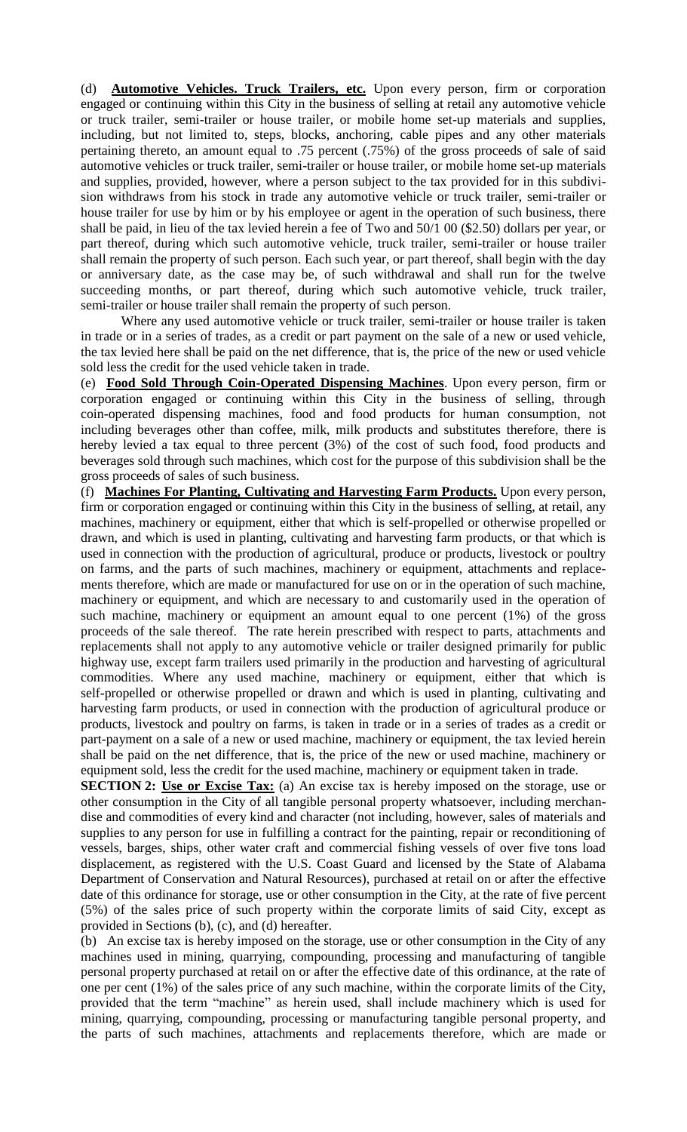(d) **Automotive Vehicles. Truck Trailers, etc.** Upon every person, firm or corporation engaged or continuing within this City in the business of selling at retail any automotive vehicle or truck trailer, semi-trailer or house trailer, or mobile home set-up materials and supplies, including, but not limited to, steps, blocks, anchoring, cable pipes and any other materials pertaining thereto, an amount equal to .75 percent (.75%) of the gross proceeds of sale of said automotive vehicles or truck trailer, semi-trailer or house trailer, or mobile home set-up materials and supplies, provided, however, where a person subject to the tax provided for in this subdivision withdraws from his stock in trade any automotive vehicle or truck trailer, semi-trailer or house trailer for use by him or by his employee or agent in the operation of such business, there shall be paid, in lieu of the tax levied herein a fee of Two and 50/1 00 (\$2.50) dollars per year, or part thereof, during which such automotive vehicle, truck trailer, semi-trailer or house trailer shall remain the property of such person. Each such year, or part thereof, shall begin with the day or anniversary date, as the case may be, of such withdrawal and shall run for the twelve succeeding months, or part thereof, during which such automotive vehicle, truck trailer, semi-trailer or house trailer shall remain the property of such person.

Where any used automotive vehicle or truck trailer, semi-trailer or house trailer is taken in trade or in a series of trades, as a credit or part payment on the sale of a new or used vehicle, the tax levied here shall be paid on the net difference, that is, the price of the new or used vehicle sold less the credit for the used vehicle taken in trade.

(e) **Food Sold Through Coin-Operated Dispensing Machines**. Upon every person, firm or corporation engaged or continuing within this City in the business of selling, through coin-operated dispensing machines, food and food products for human consumption, not including beverages other than coffee, milk, milk products and substitutes therefore, there is hereby levied a tax equal to three percent (3%) of the cost of such food, food products and beverages sold through such machines, which cost for the purpose of this subdivision shall be the gross proceeds of sales of such business.

(f) **Machines For Planting, Cultivating and Harvesting Farm Products.** Upon every person, firm or corporation engaged or continuing within this City in the business of selling, at retail, any machines, machinery or equipment, either that which is self-propelled or otherwise propelled or drawn, and which is used in planting, cultivating and harvesting farm products, or that which is used in connection with the production of agricultural, produce or products, livestock or poultry on farms, and the parts of such machines, machinery or equipment, attachments and replacements therefore, which are made or manufactured for use on or in the operation of such machine, machinery or equipment, and which are necessary to and customarily used in the operation of such machine, machinery or equipment an amount equal to one percent (1%) of the gross proceeds of the sale thereof. The rate herein prescribed with respect to parts, attachments and replacements shall not apply to any automotive vehicle or trailer designed primarily for public highway use, except farm trailers used primarily in the production and harvesting of agricultural commodities. Where any used machine, machinery or equipment, either that which is self-propelled or otherwise propelled or drawn and which is used in planting, cultivating and harvesting farm products, or used in connection with the production of agricultural produce or products, livestock and poultry on farms, is taken in trade or in a series of trades as a credit or part-payment on a sale of a new or used machine, machinery or equipment, the tax levied herein shall be paid on the net difference, that is, the price of the new or used machine, machinery or equipment sold, less the credit for the used machine, machinery or equipment taken in trade.

**SECTION 2: Use or Excise Tax:** (a) An excise tax is hereby imposed on the storage, use or other consumption in the City of all tangible personal property whatsoever, including merchandise and commodities of every kind and character (not including, however, sales of materials and supplies to any person for use in fulfilling a contract for the painting, repair or reconditioning of vessels, barges, ships, other water craft and commercial fishing vessels of over five tons load displacement, as registered with the U.S. Coast Guard and licensed by the State of Alabama Department of Conservation and Natural Resources), purchased at retail on or after the effective date of this ordinance for storage, use or other consumption in the City, at the rate of five percent (5%) of the sales price of such property within the corporate limits of said City, except as provided in Sections (b), (c), and (d) hereafter.

(b) An excise tax is hereby imposed on the storage, use or other consumption in the City of any machines used in mining, quarrying, compounding, processing and manufacturing of tangible personal property purchased at retail on or after the effective date of this ordinance, at the rate of one per cent (1%) of the sales price of any such machine, within the corporate limits of the City, provided that the term "machine" as herein used, shall include machinery which is used for mining, quarrying, compounding, processing or manufacturing tangible personal property, and the parts of such machines, attachments and replacements therefore, which are made or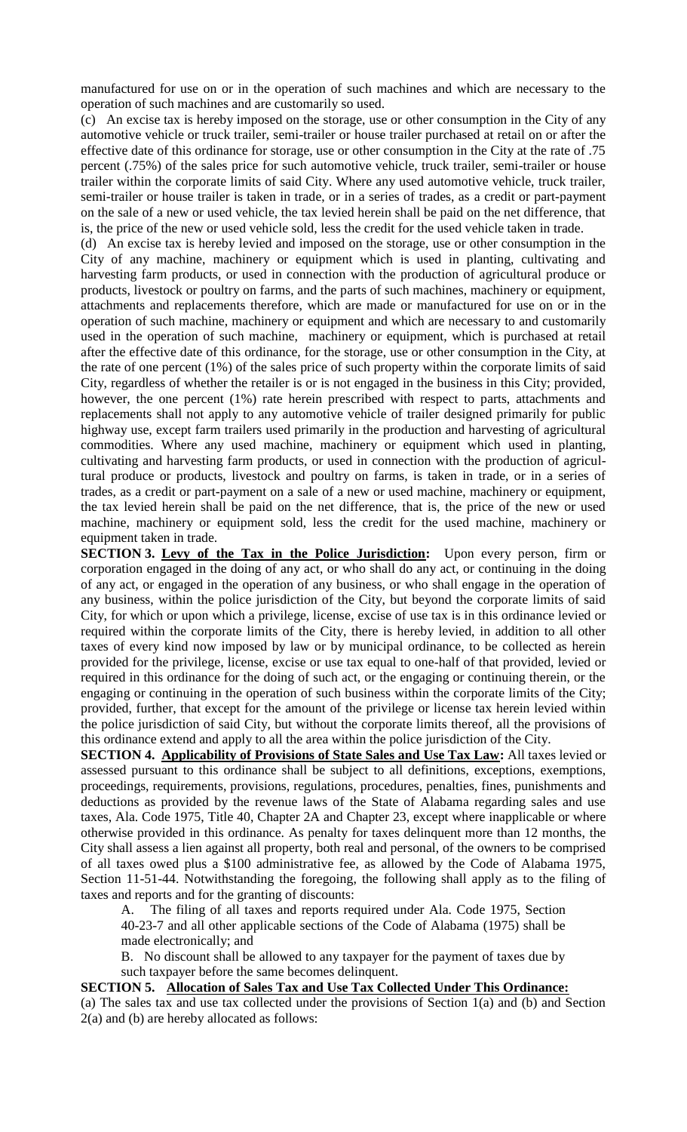manufactured for use on or in the operation of such machines and which are necessary to the operation of such machines and are customarily so used.

(c) An excise tax is hereby imposed on the storage, use or other consumption in the City of any automotive vehicle or truck trailer, semi-trailer or house trailer purchased at retail on or after the effective date of this ordinance for storage, use or other consumption in the City at the rate of .75 percent (.75%) of the sales price for such automotive vehicle, truck trailer, semi-trailer or house trailer within the corporate limits of said City. Where any used automotive vehicle, truck trailer, semi-trailer or house trailer is taken in trade, or in a series of trades, as a credit or part-payment on the sale of a new or used vehicle, the tax levied herein shall be paid on the net difference, that is, the price of the new or used vehicle sold, less the credit for the used vehicle taken in trade.

(d) An excise tax is hereby levied and imposed on the storage, use or other consumption in the City of any machine, machinery or equipment which is used in planting, cultivating and harvesting farm products, or used in connection with the production of agricultural produce or products, livestock or poultry on farms, and the parts of such machines, machinery or equipment, attachments and replacements therefore, which are made or manufactured for use on or in the operation of such machine, machinery or equipment and which are necessary to and customarily used in the operation of such machine, machinery or equipment, which is purchased at retail after the effective date of this ordinance, for the storage, use or other consumption in the City, at the rate of one percent (1%) of the sales price of such property within the corporate limits of said City, regardless of whether the retailer is or is not engaged in the business in this City; provided, however, the one percent (1%) rate herein prescribed with respect to parts, attachments and replacements shall not apply to any automotive vehicle of trailer designed primarily for public highway use, except farm trailers used primarily in the production and harvesting of agricultural commodities. Where any used machine, machinery or equipment which used in planting, cultivating and harvesting farm products, or used in connection with the production of agricultural produce or products, livestock and poultry on farms, is taken in trade, or in a series of trades, as a credit or part-payment on a sale of a new or used machine, machinery or equipment, the tax levied herein shall be paid on the net difference, that is, the price of the new or used machine, machinery or equipment sold, less the credit for the used machine, machinery or equipment taken in trade.

**SECTION 3. Levy of the Tax in the Police Jurisdiction:** Upon every person, firm or corporation engaged in the doing of any act, or who shall do any act, or continuing in the doing of any act, or engaged in the operation of any business, or who shall engage in the operation of any business, within the police jurisdiction of the City, but beyond the corporate limits of said City, for which or upon which a privilege, license, excise of use tax is in this ordinance levied or required within the corporate limits of the City, there is hereby levied, in addition to all other taxes of every kind now imposed by law or by municipal ordinance, to be collected as herein provided for the privilege, license, excise or use tax equal to one-half of that provided, levied or required in this ordinance for the doing of such act, or the engaging or continuing therein, or the engaging or continuing in the operation of such business within the corporate limits of the City; provided, further, that except for the amount of the privilege or license tax herein levied within the police jurisdiction of said City, but without the corporate limits thereof, all the provisions of this ordinance extend and apply to all the area within the police jurisdiction of the City.

**SECTION 4. Applicability of Provisions of State Sales and Use Tax Law:** All taxes levied or assessed pursuant to this ordinance shall be subject to all definitions, exceptions, exemptions, proceedings, requirements, provisions, regulations, procedures, penalties, fines, punishments and deductions as provided by the revenue laws of the State of Alabama regarding sales and use taxes, Ala. Code 1975, Title 40, Chapter 2A and Chapter 23, except where inapplicable or where otherwise provided in this ordinance. As penalty for taxes delinquent more than 12 months, the City shall assess a lien against all property, both real and personal, of the owners to be comprised of all taxes owed plus a \$100 administrative fee, as allowed by the Code of Alabama 1975, Section 11-51-44. Notwithstanding the foregoing, the following shall apply as to the filing of taxes and reports and for the granting of discounts:

A. The filing of all taxes and reports required under Ala. Code 1975, Section 40-23-7 and all other applicable sections of the Code of Alabama (1975) shall be made electronically; and

B. No discount shall be allowed to any taxpayer for the payment of taxes due by such taxpayer before the same becomes delinquent.

## **SECTION 5. Allocation of Sales Tax and Use Tax Collected Under This Ordinance:**

(a) The sales tax and use tax collected under the provisions of Section 1(a) and (b) and Section 2(a) and (b) are hereby allocated as follows: